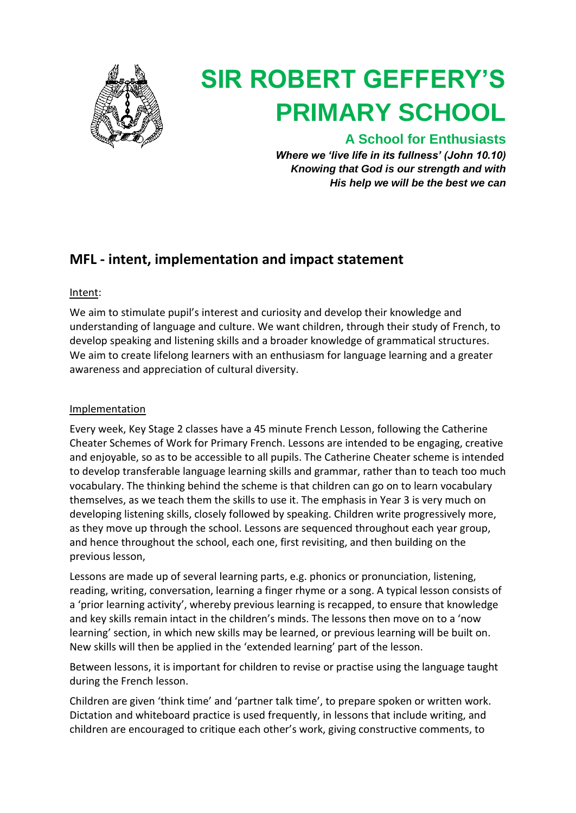

# **SIR ROBERT GEFFERY'S PRIMARY SCHOOL**

### **A School for Enthusiasts**

*Where we 'live life in its fullness' (John 10.10) Knowing that God is our strength and with His help we will be the best we can*

## **MFL - intent, implementation and impact statement**

#### Intent:

We aim to stimulate pupil's interest and curiosity and develop their knowledge and understanding of language and culture. We want children, through their study of French, to develop speaking and listening skills and a broader knowledge of grammatical structures. We aim to create lifelong learners with an enthusiasm for language learning and a greater awareness and appreciation of cultural diversity.

#### Implementation

Every week, Key Stage 2 classes have a 45 minute French Lesson, following the Catherine Cheater Schemes of Work for Primary French. Lessons are intended to be engaging, creative and enjoyable, so as to be accessible to all pupils. The Catherine Cheater scheme is intended to develop transferable language learning skills and grammar, rather than to teach too much vocabulary. The thinking behind the scheme is that children can go on to learn vocabulary themselves, as we teach them the skills to use it. The emphasis in Year 3 is very much on developing listening skills, closely followed by speaking. Children write progressively more, as they move up through the school. Lessons are sequenced throughout each year group, and hence throughout the school, each one, first revisiting, and then building on the previous lesson,

Lessons are made up of several learning parts, e.g. phonics or pronunciation, listening, reading, writing, conversation, learning a finger rhyme or a song. A typical lesson consists of a 'prior learning activity', whereby previous learning is recapped, to ensure that knowledge and key skills remain intact in the children's minds. The lessons then move on to a 'now learning' section, in which new skills may be learned, or previous learning will be built on. New skills will then be applied in the 'extended learning' part of the lesson.

Between lessons, it is important for children to revise or practise using the language taught during the French lesson.

Children are given 'think time' and 'partner talk time', to prepare spoken or written work. Dictation and whiteboard practice is used frequently, in lessons that include writing, and children are encouraged to critique each other's work, giving constructive comments, to